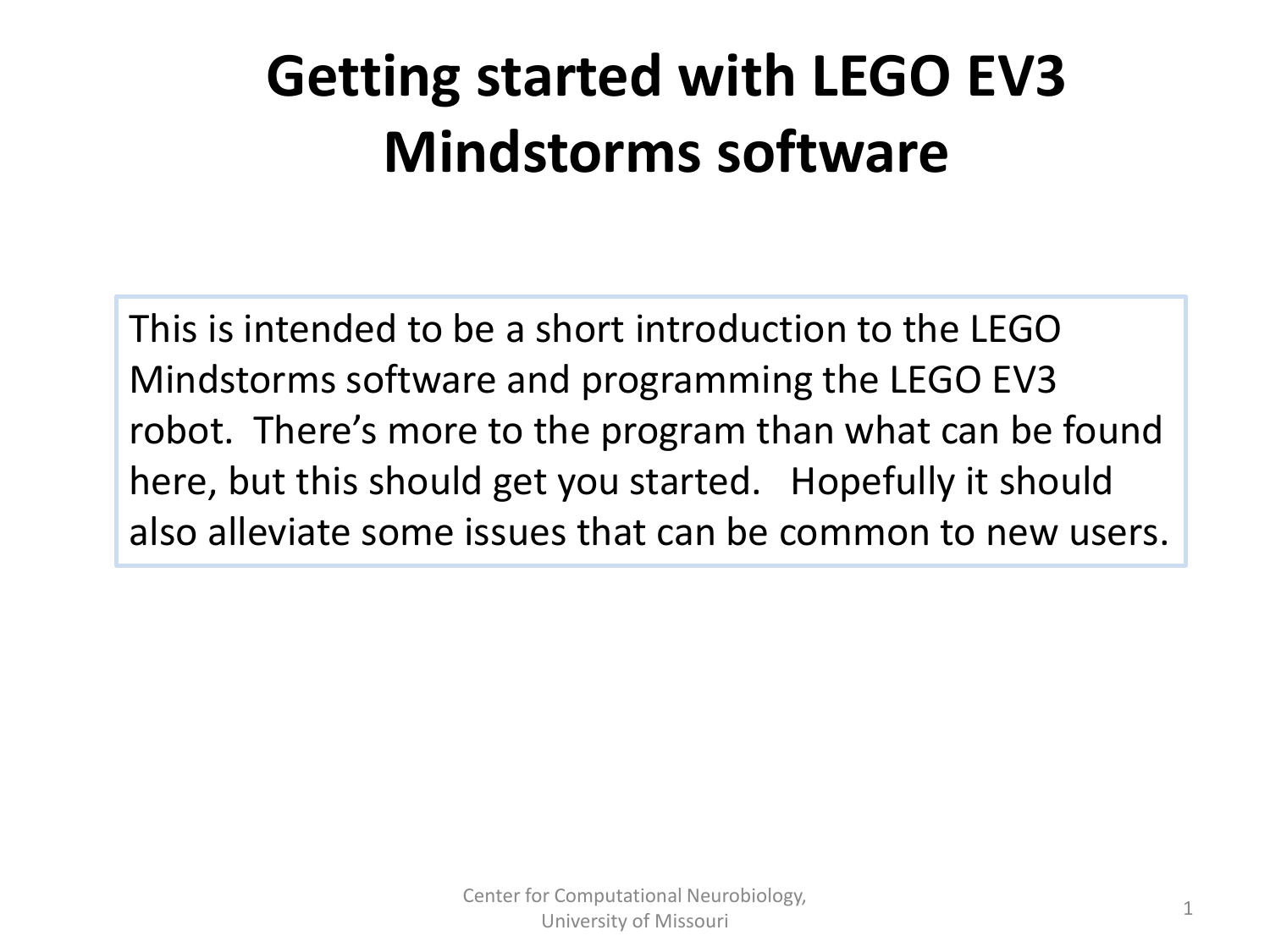## **Getting started with LEGO EV3 Mindstorms software**

This is intended to be a short introduction to the LEGO Mindstorms software and programming the LEGO EV3 robot. There's more to the program than what can be found here, but this should get you started. Hopefully it should also alleviate some issues that can be common to new users.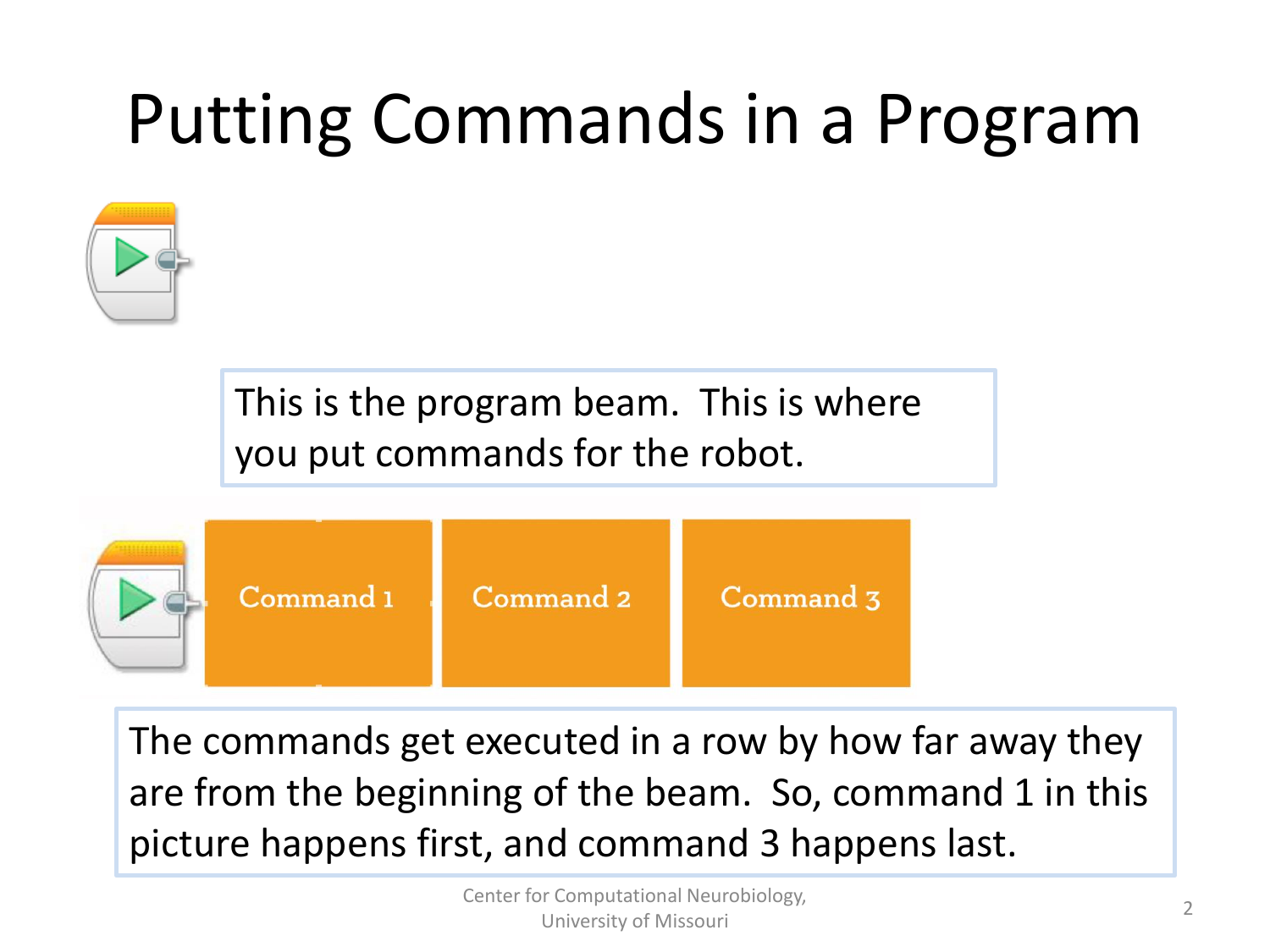# Putting Commands in a Program



This is the program beam. This is where you put commands for the robot.



The commands get executed in a row by how far away they are from the beginning of the beam. So, command 1 in this picture happens first, and command 3 happens last.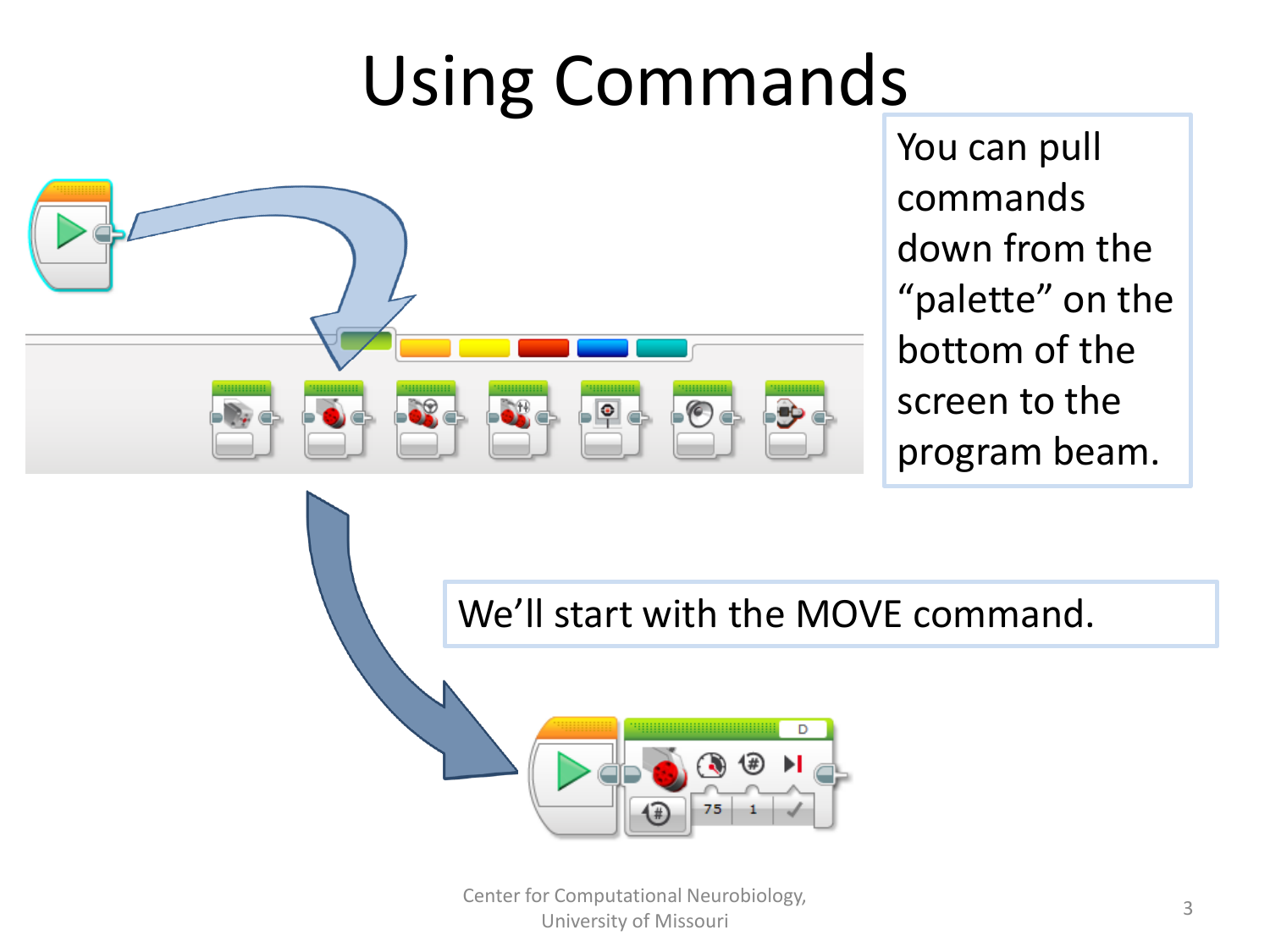# Using Commands



You can pull commands down from the "palette" on the bottom of the screen to the program beam.

We'll start with the MOVE command.



Center for Computational Neurobiology, University of Missouri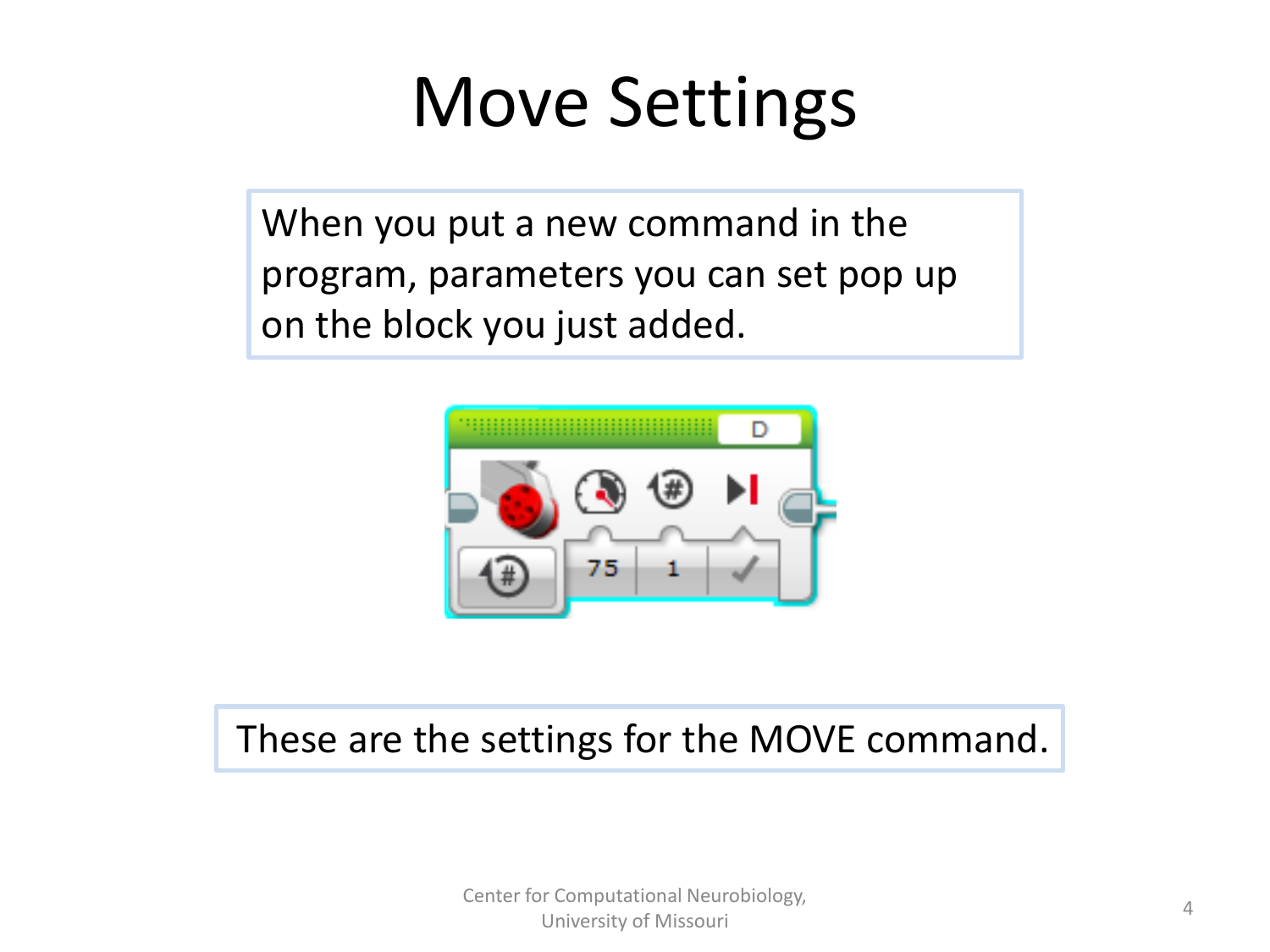## Move Settings

When you put a new command in the program, parameters you can set pop up on the block you just added.



#### These are the settings for the MOVE command.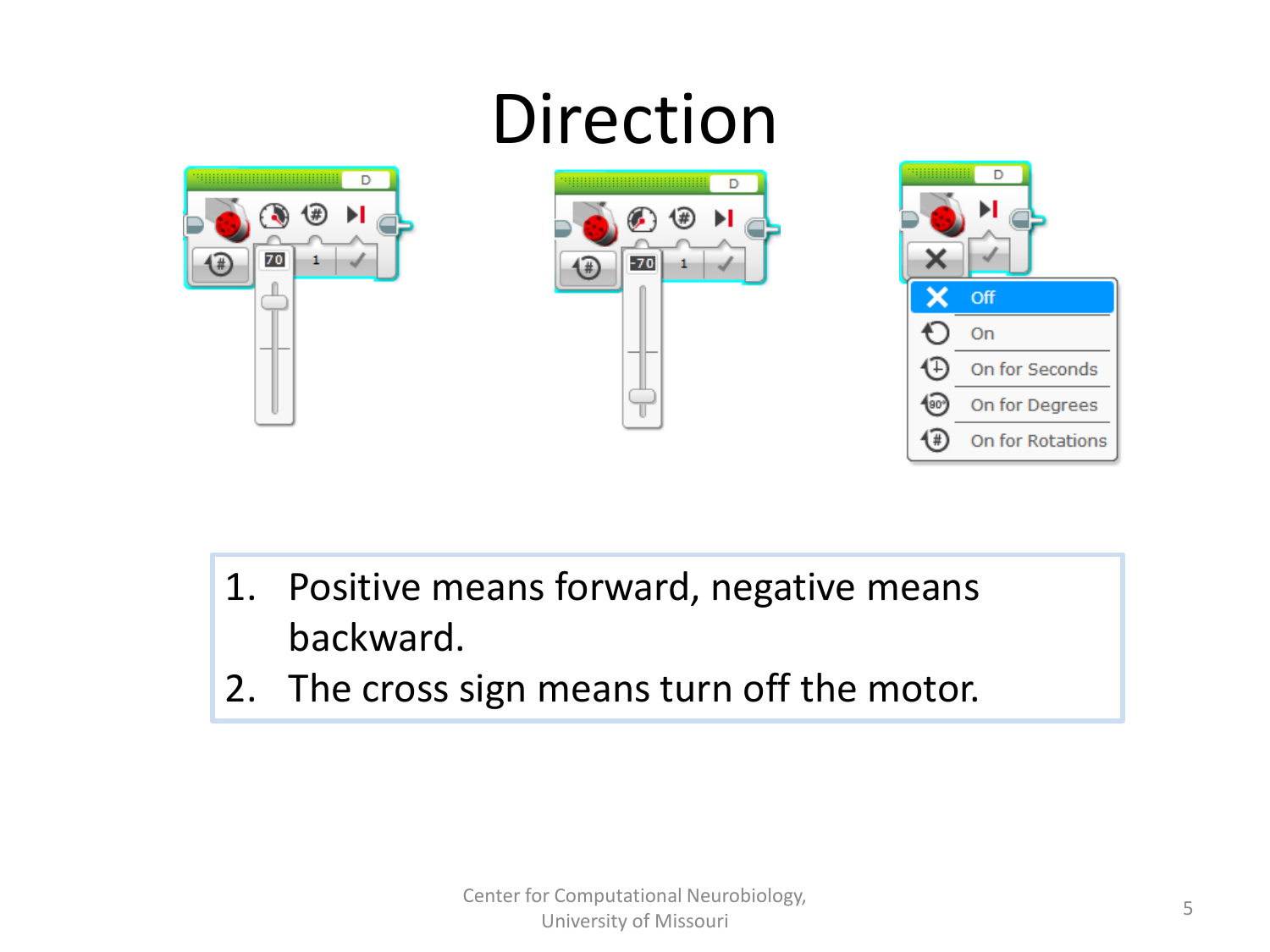

- 1. Positive means forward, negative means backward.
- 2. The cross sign means turn off the motor.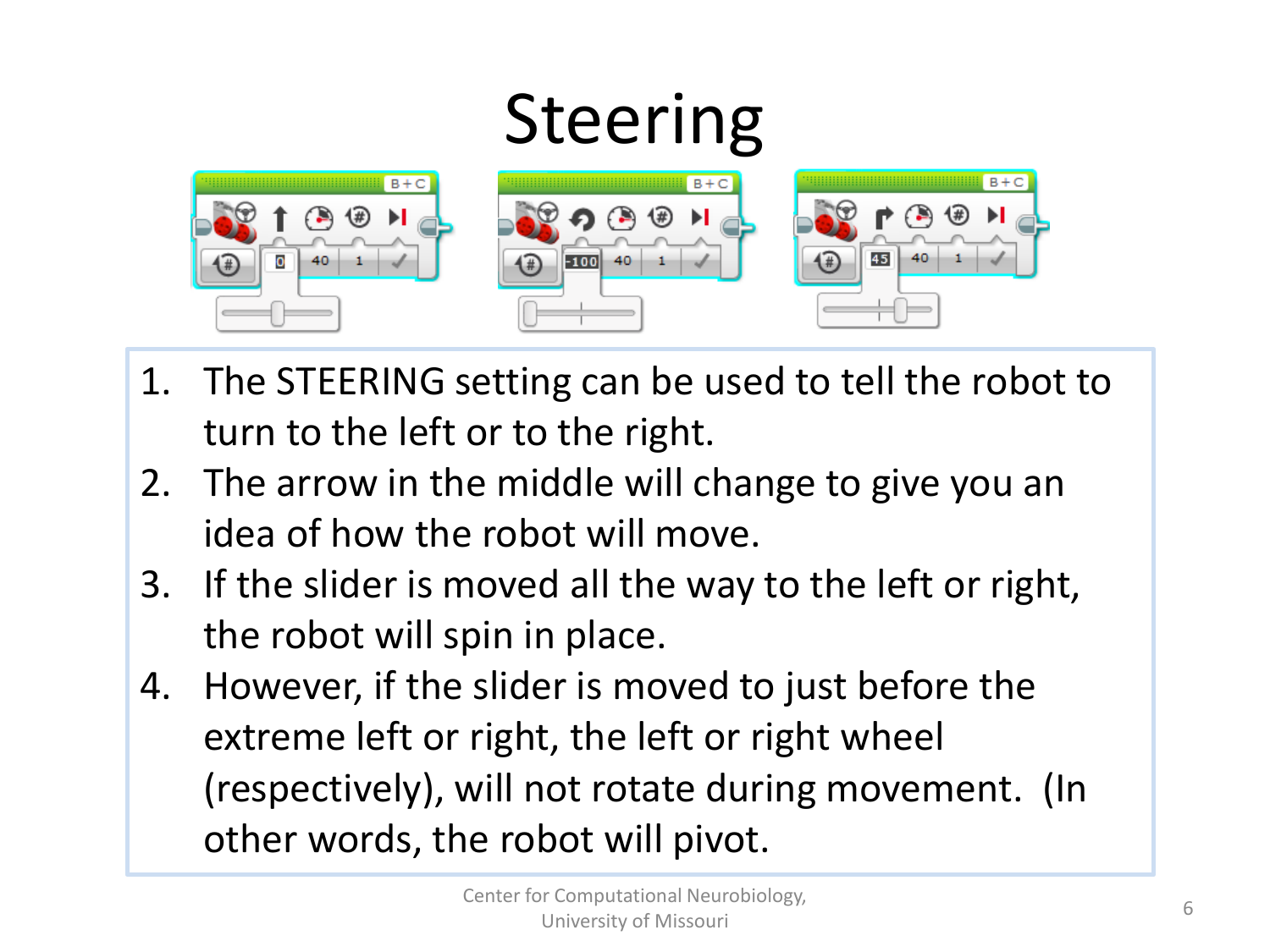

- 1. The STEERING setting can be used to tell the robot to turn to the left or to the right.
- 2. The arrow in the middle will change to give you an idea of how the robot will move.
- 3. If the slider is moved all the way to the left or right, the robot will spin in place.
- 4. However, if the slider is moved to just before the extreme left or right, the left or right wheel (respectively), will not rotate during movement. (In other words, the robot will pivot.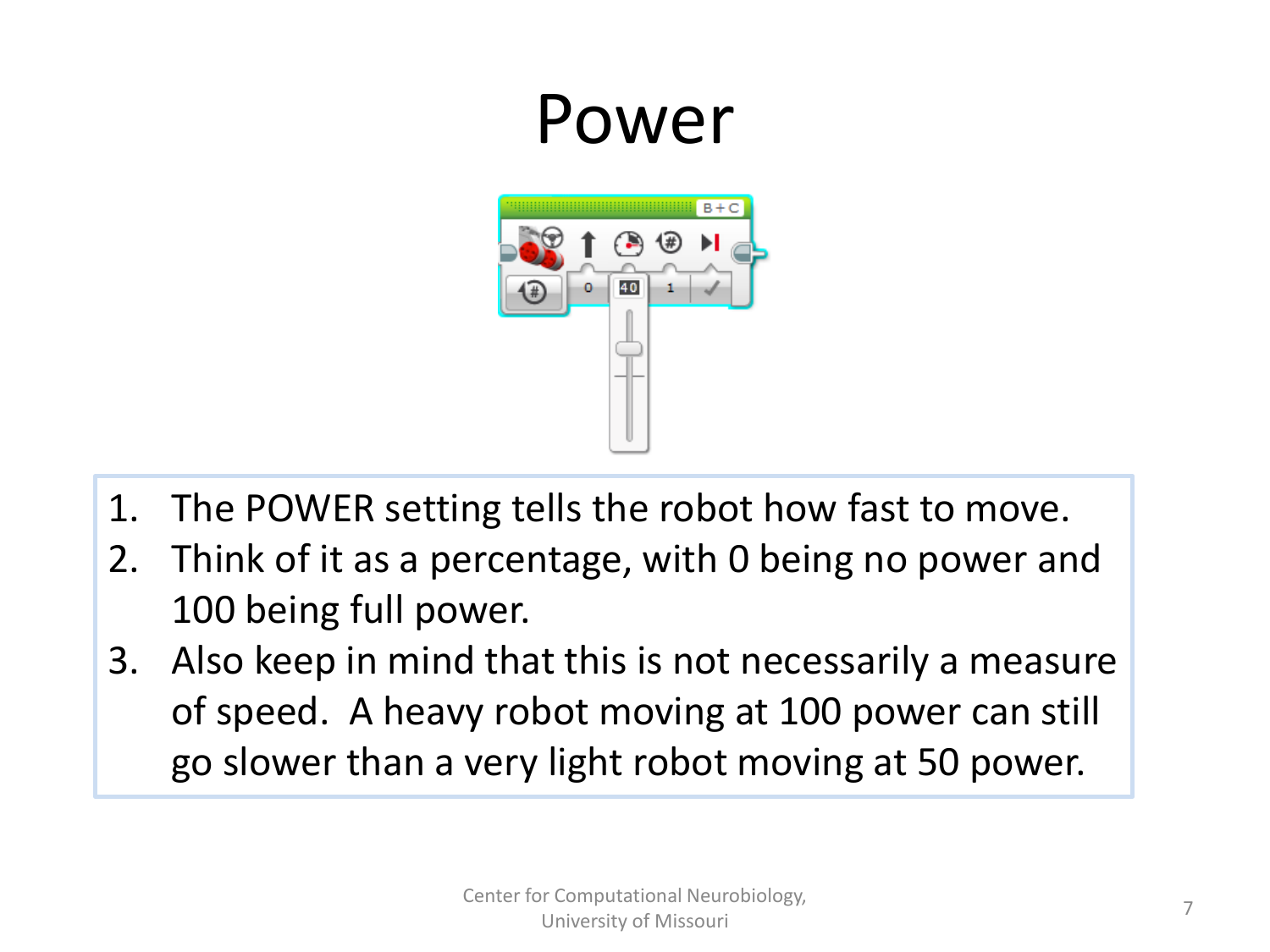## Power



- 1. The POWER setting tells the robot how fast to move.
- 2. Think of it as a percentage, with 0 being no power and 100 being full power.
- 3. Also keep in mind that this is not necessarily a measure of speed. A heavy robot moving at 100 power can still go slower than a very light robot moving at 50 power.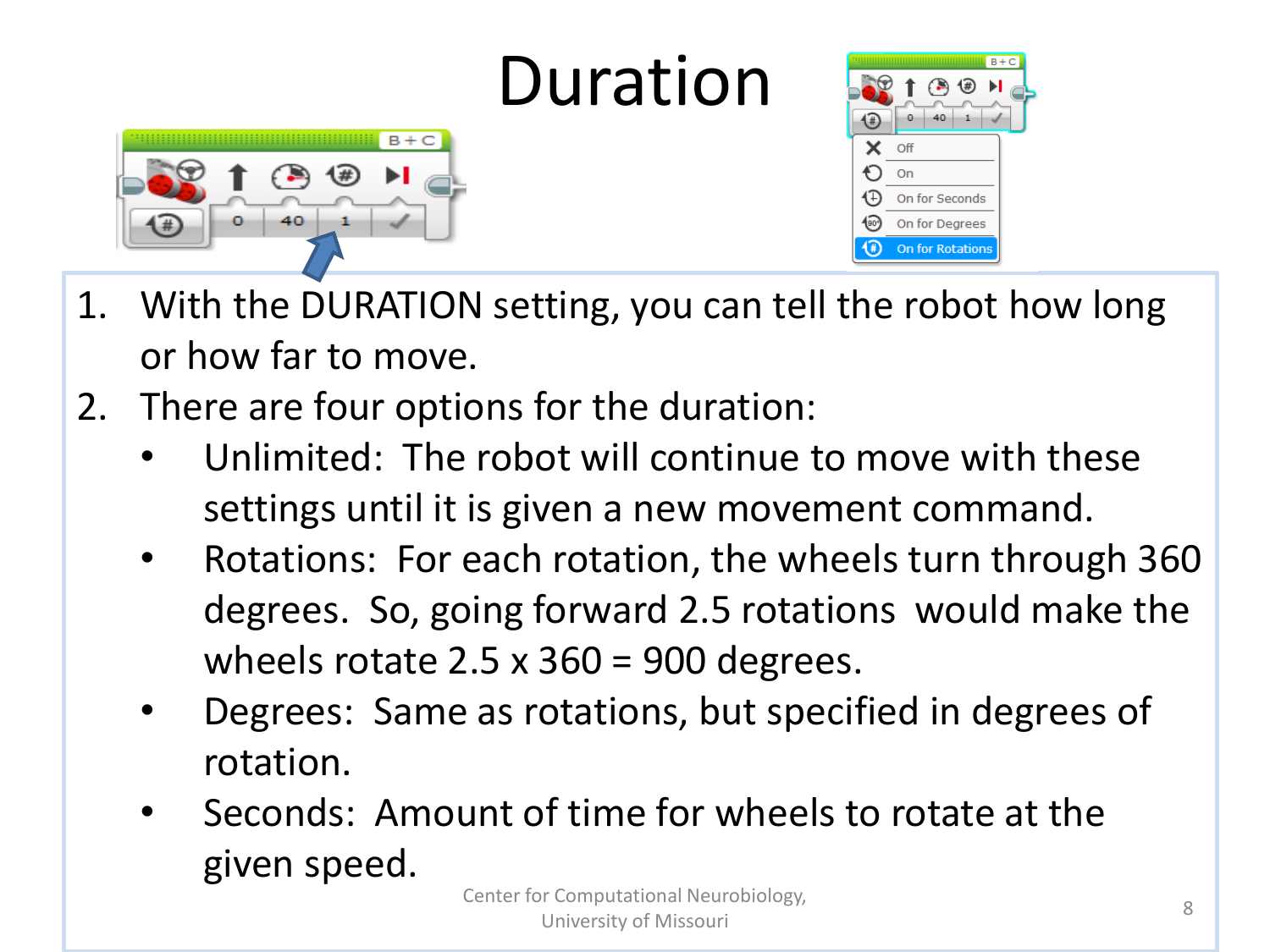## Duration





- 1. With the DURATION setting, you can tell the robot how long or how far to move.
- 2. There are four options for the duration:
	- Unlimited: The robot will continue to move with these settings until it is given a new movement command.
	- Rotations: For each rotation, the wheels turn through 360 degrees. So, going forward 2.5 rotations would make the wheels rotate 2.5  $\times$  360 = 900 degrees.
	- Degrees: Same as rotations, but specified in degrees of rotation.
	- Seconds: Amount of time for wheels to rotate at the given speed.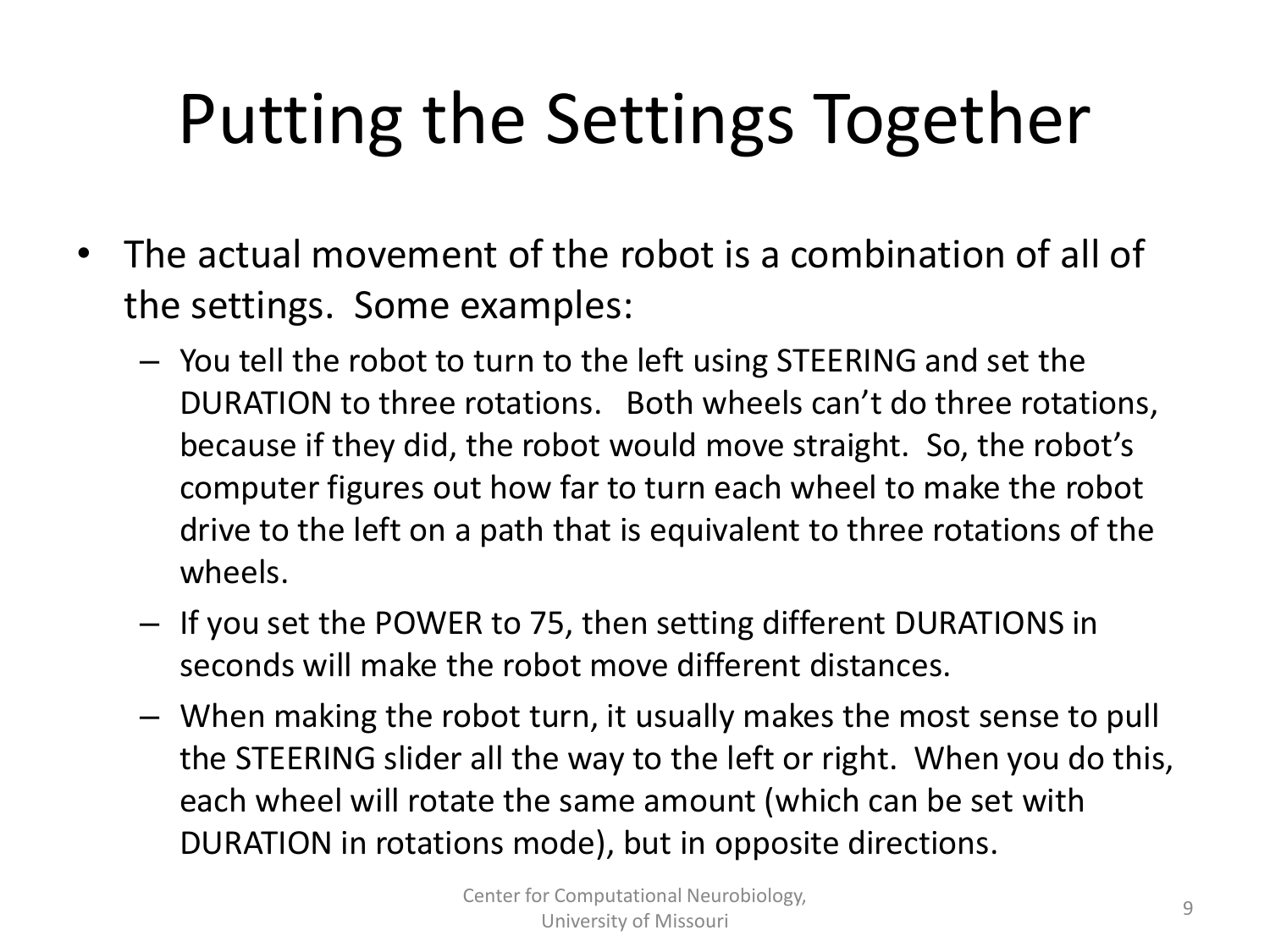# Putting the Settings Together

- The actual movement of the robot is a combination of all of the settings. Some examples:
	- You tell the robot to turn to the left using STEERING and set the DURATION to three rotations. Both wheels can't do three rotations, because if they did, the robot would move straight. So, the robot's computer figures out how far to turn each wheel to make the robot drive to the left on a path that is equivalent to three rotations of the wheels.
	- If you set the POWER to 75, then setting different DURATIONS in seconds will make the robot move different distances.
	- When making the robot turn, it usually makes the most sense to pull the STEERING slider all the way to the left or right. When you do this, each wheel will rotate the same amount (which can be set with DURATION in rotations mode), but in opposite directions.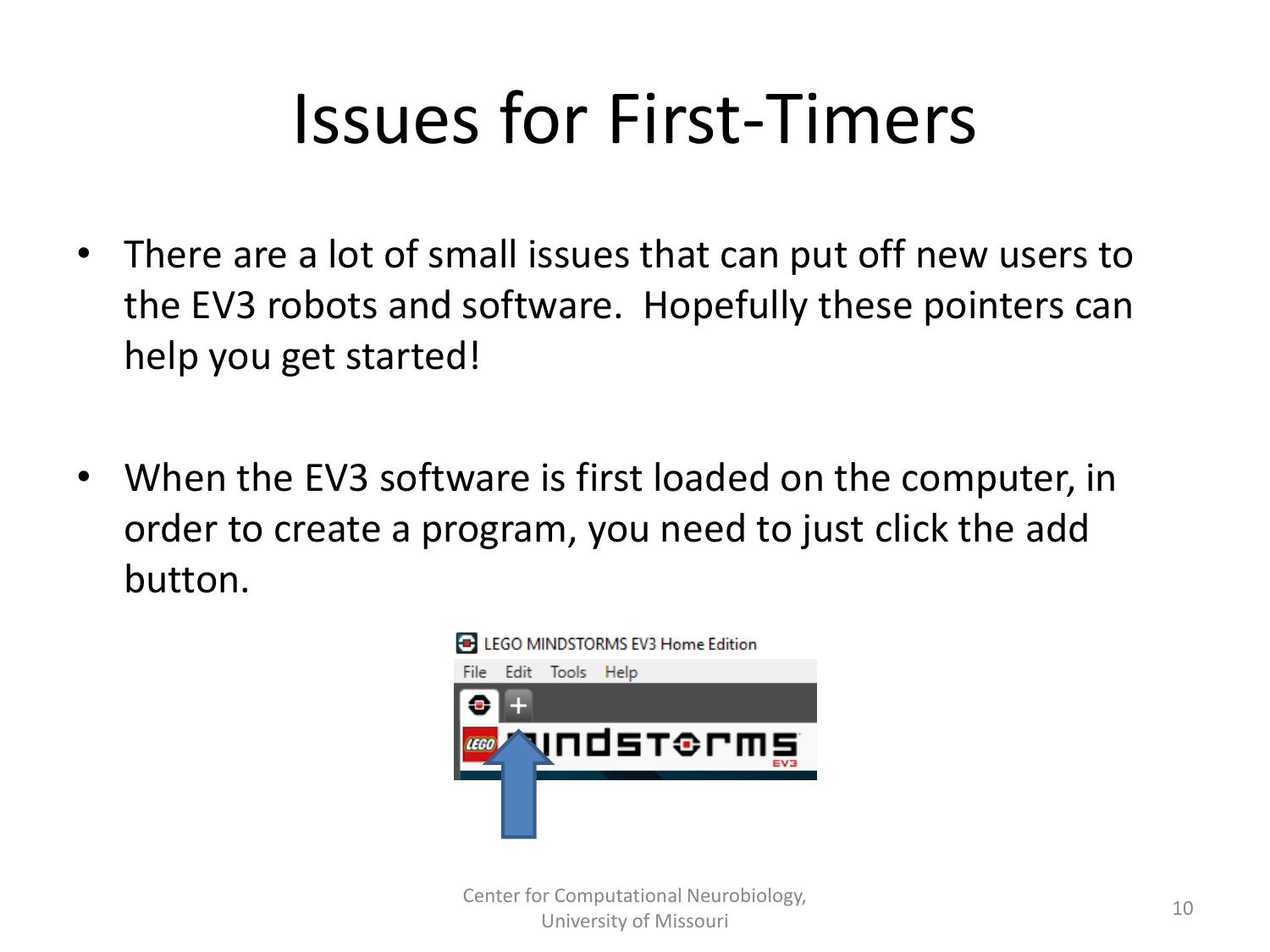- There are a lot of small issues that can put off new users to the EV3 robots and software. Hopefully these pointers can help you get started!
- When the EV3 software is first loaded on the computer, in order to create a program, you need to just click the add button.



**10** Center for Computational Neurobiology, University of Missouri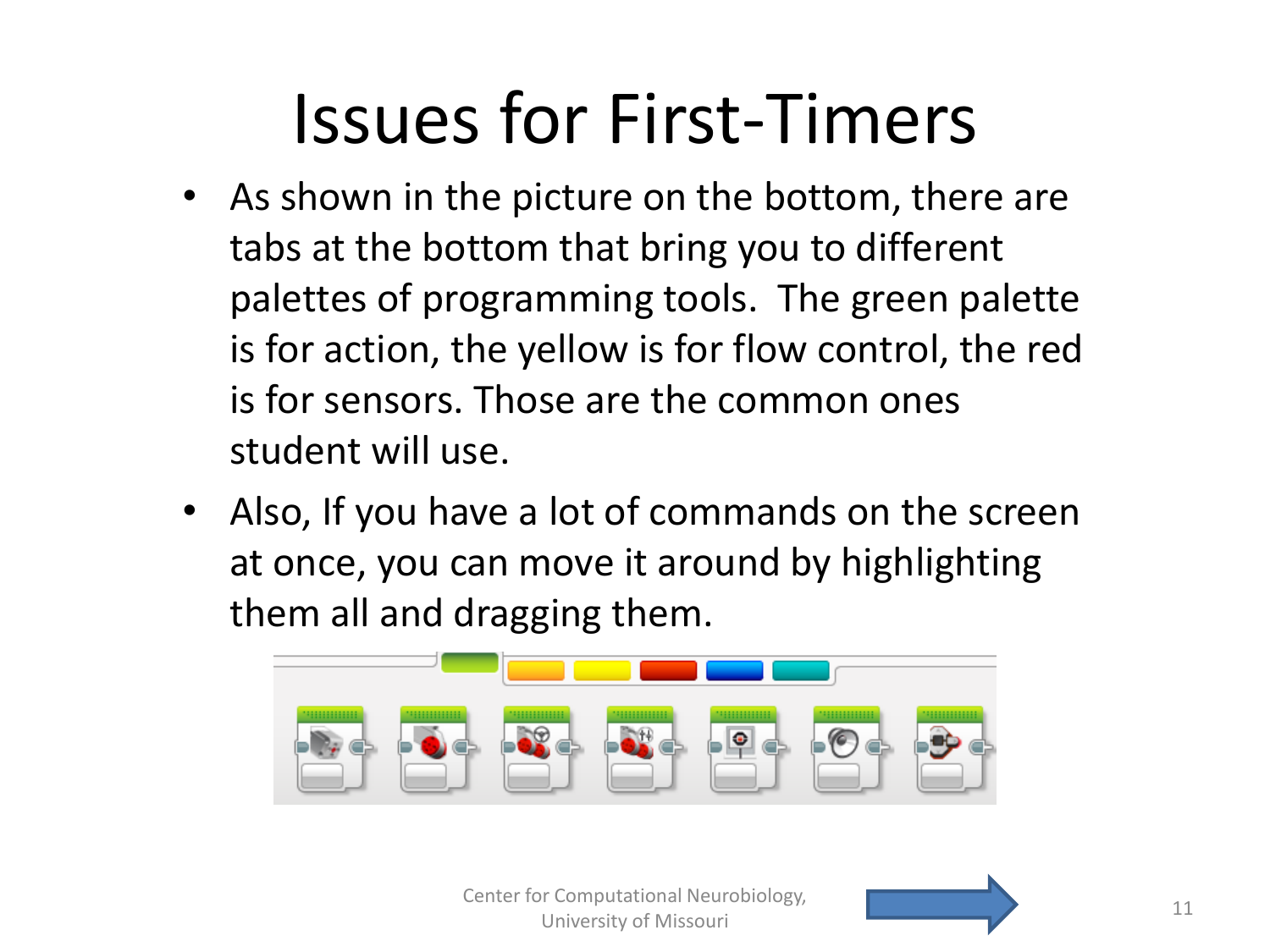- As shown in the picture on the bottom, there are tabs at the bottom that bring you to different palettes of programming tools. The green palette is for action, the yellow is for flow control, the red is for sensors. Those are the common ones student will use.
- Also, If you have a lot of commands on the screen at once, you can move it around by highlighting them all and dragging them.



Center for Computational Neurobiology, **11** Center for Computational Neurobiology, 11 University of Missouri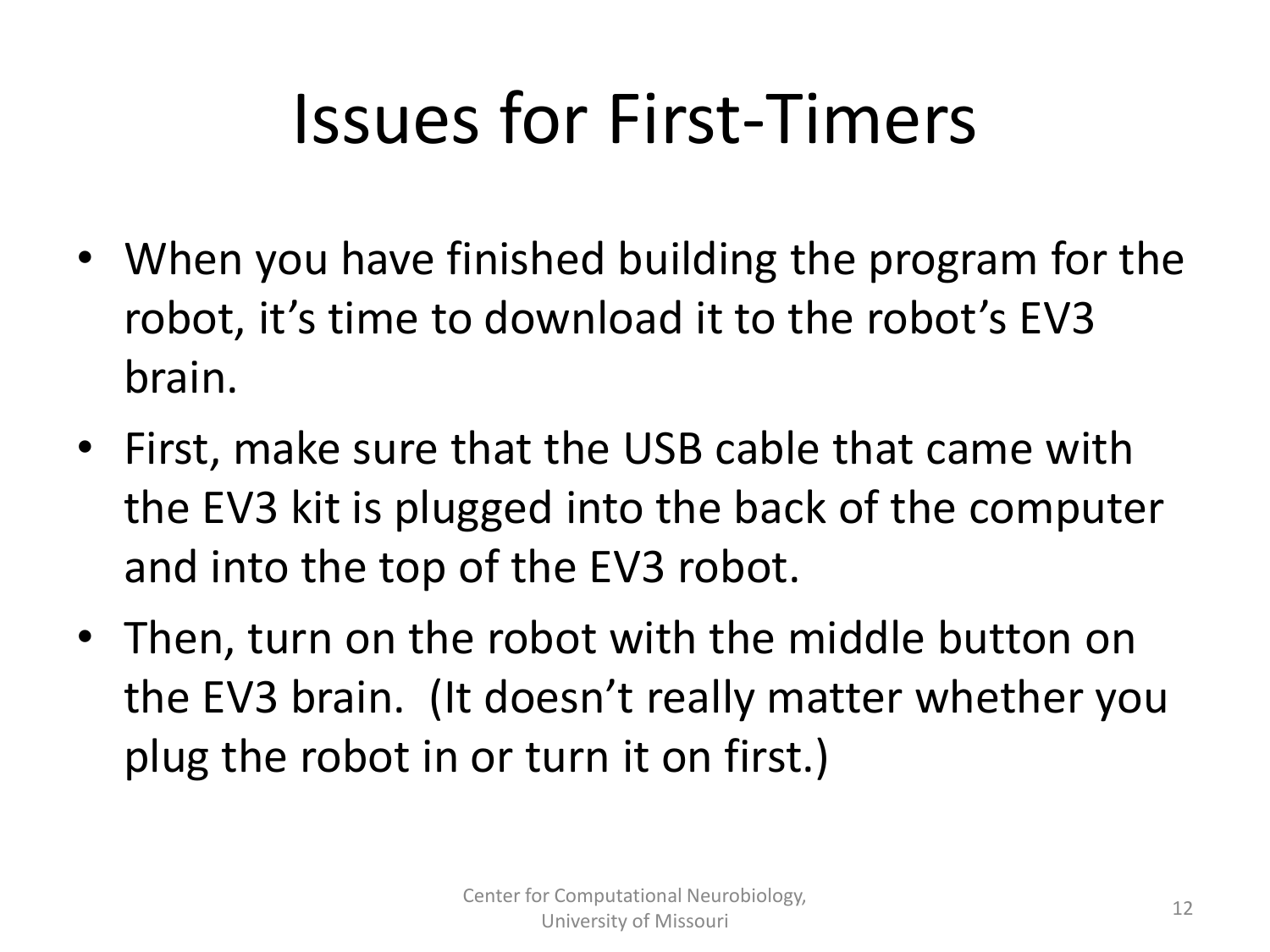- When you have finished building the program for the robot, it's time to download it to the robot's EV3 brain.
- First, make sure that the USB cable that came with the EV3 kit is plugged into the back of the computer and into the top of the EV3 robot.
- Then, turn on the robot with the middle button on the EV3 brain. (It doesn't really matter whether you plug the robot in or turn it on first.)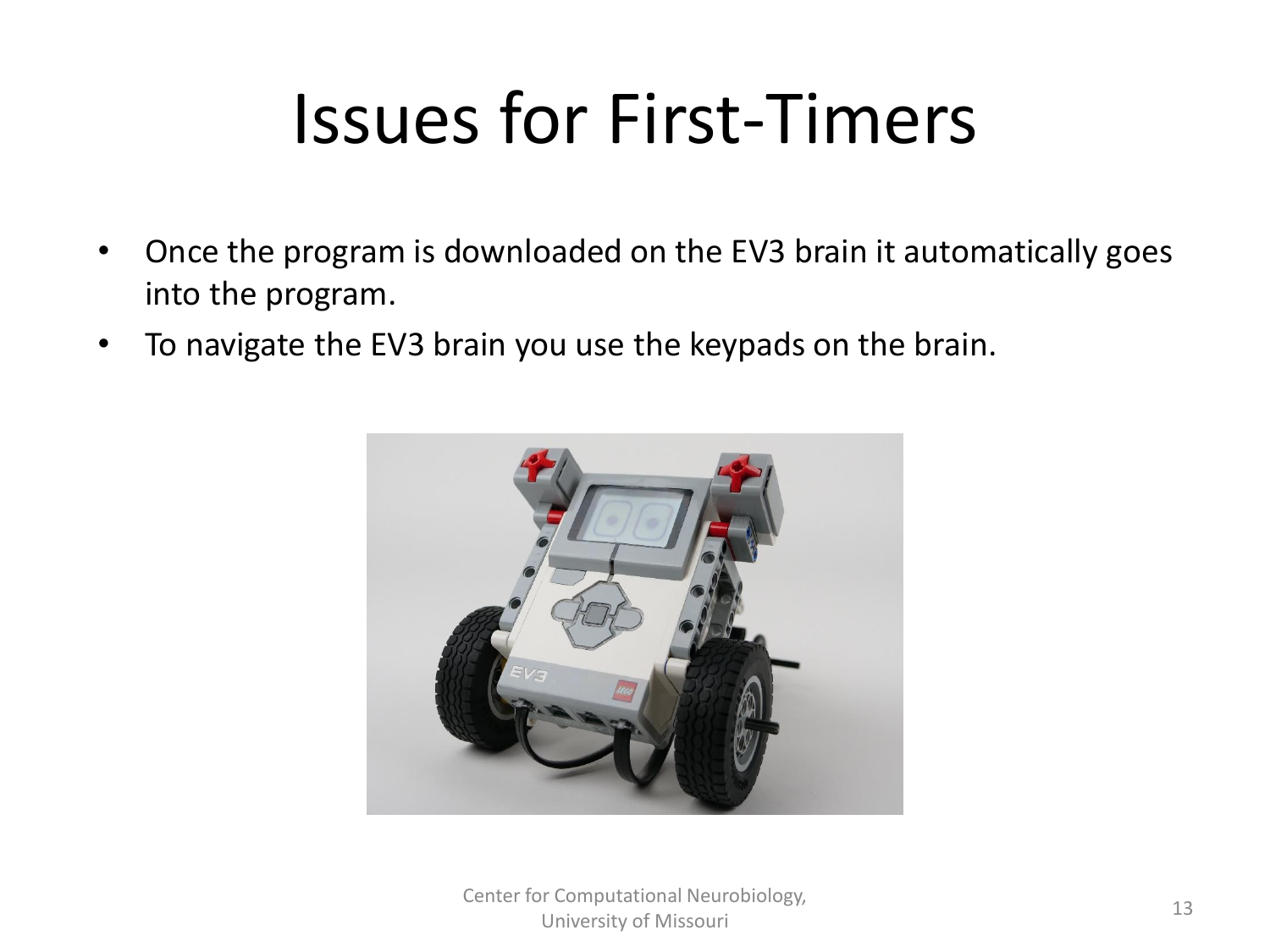- Once the program is downloaded on the EV3 brain it automatically goes into the program.
- To navigate the EV3 brain you use the keypads on the brain.